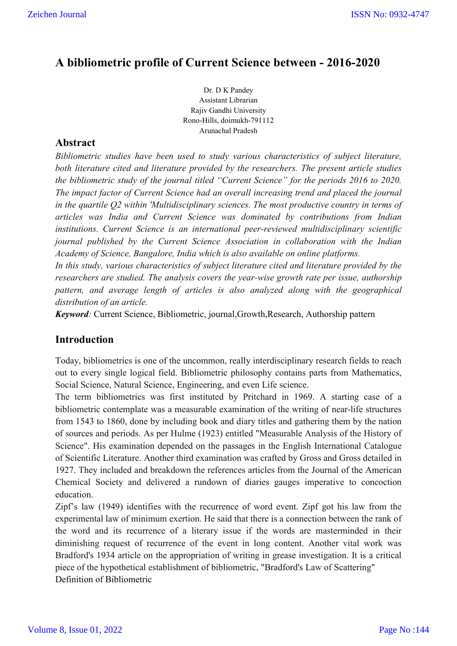## **A bibliometric profile of Current Science between - 2016-2020**

Dr. D K Pandey Assistant Librarian Rajiv Gandhi University Rono-Hills, doimukh-791112 Arunachal Pradesh

#### **Abstract**

*Bibliometric studies have been used to study various characteristics of subject literature, both literature cited and literature provided by the researchers. The present article studies the bibliometric study of the journal titled "Current Science" for the periods 2016 to 2020. The impact factor of Current Science had an overall increasing trend and placed the journal in the quartile Q2 within 'Multidisciplinary sciences. The most productive country in terms of articles was India and Current Science was dominated by contributions from Indian institutions. Current Science is an international peer-reviewed multidisciplinary scientific journal published by the Current Science Association in collaboration with the Indian Academy of Science, Bangalore, India which is also available on online platforms.*

*In this study, various characteristics of subject literature cited and literature provided by the researchers are studied. The analysis covers the year-wise growth rate per issue, authorship pattern, and average length of articles is also analyzed along with the geographical distribution of an article.*

*Keyword:* Current Science, Bibliometric, journal,Growth,Research, Authorship pattern

#### **Introduction**

Today, bibliometrics is one of the uncommon, really interdisciplinary research fields to reach out to every single logical field. Bibliometric philosophy contains parts from Mathematics, Social Science, Natural Science, Engineering, and even Life science.

The term bibliometrics was first instituted by Pritchard in 1969. A starting case of a bibliometric contemplate was a measurable examination of the writing of near-life structures from 1543 to 1860, done by including book and diary titles and gathering them by the nation of sources and periods. As per Hulme (1923) entitled "Measurable Analysis of the History of Science". His examination depended on the passages in the English International Catalogue of Scientific Literature. Another third examination was crafted by Gross and Gross detailed in 1927. They included and breakdown the references articles from the Journal of the American Chemical Society and delivered a rundown of diaries gauges imperative to concoction education.

Zipf's law (1949) identifies with the recurrence of word event. Zipf got his law from the experimental law of minimum exertion. He said that there is a connection between the rank of the word and its recurrence of a literary issue if the words are masterminded in their diminishing request of recurrence of the event in long content. Another vital work was Bradford's 1934 article on the appropriation of writing in grease investigation. It is a critical piece of the hypothetical establishment of bibliometric, "Bradford's Law of Scattering" Definition of Bibliometric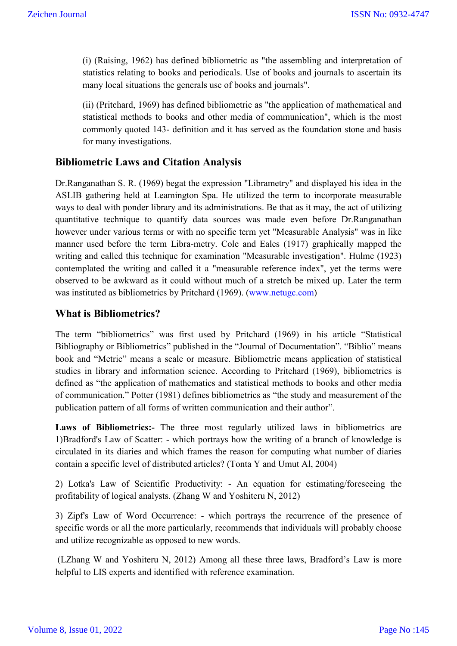(i) (Raising, 1962) has defined bibliometric as "the assembling and interpretation of statistics relating to books and periodicals. Use of books and journals to ascertain its many local situations the generals use of books and journals".

(ii) (Pritchard, 1969) has defined bibliometric as "the application of mathematical and statistical methods to books and other media of communication", which is the most commonly quoted 143- definition and it has served as the foundation stone and basis for many investigations.

#### **Bibliometric Laws and Citation Analysis**

Dr.Ranganathan S. R. (1969) begat the expression "Librametry" and displayed his idea in the ASLIB gathering held at Leamington Spa. He utilized the term to incorporate measurable ways to deal with ponder library and its administrations. Be that as it may, the act of utilizing quantitative technique to quantify data sources was made even before Dr.Ranganathan however under various terms or with no specific term yet "Measurable Analysis" was in like manner used before the term Libra-metry. Cole and Eales (1917) graphically mapped the writing and called this technique for examination "Measurable investigation". Hulme (1923) contemplated the writing and called it a "measurable reference index", yet the terms were observed to be awkward as it could without much of a stretch be mixed up. Later the term was instituted as bibliometrics by Pritchard (1969). (www.netugc.com)

#### **What is Bibliometrics?**

The term "bibliometrics" was first used by Pritchard (1969) in his article "Statistical Bibliography or Bibliometrics" published in the "Journal of Documentation". "Biblio" means book and "Metric" means a scale or measure. Bibliometric means application of statistical studies in library and information science. According to Pritchard (1969), bibliometrics is defined as "the application of mathematics and statistical methods to books and other media of communication." Potter (1981) defines bibliometrics as "the study and measurement of the publication pattern of all forms of written communication and their author".

**Laws of Bibliometrics:-** The three most regularly utilized laws in bibliometrics are 1)Bradford's Law of Scatter: - which portrays how the writing of a branch of knowledge is circulated in its diaries and which frames the reason for computing what number of diaries contain a specific level of distributed articles? (Tonta Y and Umut Al, 2004)

2) Lotka's Law of Scientific Productivity: - An equation for estimating/foreseeing the profitability of logical analysts. (Zhang W and Yoshiteru N, 2012)

3) Zipf's Law of Word Occurrence: - which portrays the recurrence of the presence of specific words or all the more particularly, recommends that individuals will probably choose and utilize recognizable as opposed to new words.

(LZhang W and Yoshiteru N, 2012) Among all these three laws, Bradford's Law is more helpful to LIS experts and identified with reference examination.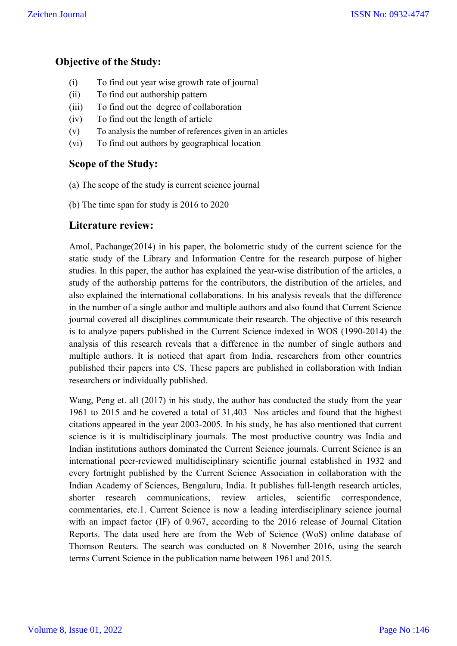#### **Objective of the Study:**

- (i) To find out year wise growth rate of journal
- (ii) To find out authorship pattern
- (iii) To find out the degree of collaboration
- (iv) To find out the length of article
- (v) To analysis the number of references given in an articles
- (vi) To find out authors by geographical location

#### **Scope of the Study:**

- (a) The scope of the study is current science journal
- (b) The time span for study is 2016 to 2020

#### **Literature review:**

Amol, Pachange(2014) in his paper, the bolometric study of the current science for the static study of the Library and Information Centre for the research purpose of higher studies. In this paper, the author has explained the year-wise distribution of the articles, a study of the authorship patterns for the contributors, the distribution of the articles, and also explained the international collaborations. In his analysis reveals that the difference in the number of a single author and multiple authors and also found that Current Science journal covered all disciplines communicate their research. The objective of this research is to analyze papers published in the Current Science indexed in WOS (1990-2014) the analysis of this research reveals that a difference in the number of single authors and multiple authors. It is noticed that apart from India, researchers from other countries published their papers into CS. These papers are published in collaboration with Indian researchers or individually published.

Wang, Peng et. all (2017) in his study, the author has conducted the study from the year 1961 to 2015 and he covered a total of 31,403 Nos articles and found that the highest citations appeared in the year 2003-2005. In his study, he has also mentioned that current science is it is multidisciplinary journals. The most productive country was India and Indian institutions authors dominated the Current Science journals. Current Science is an international peer-reviewed multidisciplinary scientific journal established in 1932 and every fortnight published by the Current Science Association in collaboration with the Indian Academy of Sciences, Bengaluru, India. It publishes full-length research articles, shorter research communications, review articles, scientific correspondence, commentaries, etc.1. Current Science is now a leading interdisciplinary science journal with an impact factor (IF) of 0.967, according to the 2016 release of Journal Citation Reports. The data used here are from the Web of Science (WoS) online database of Thomson Reuters. The search was conducted on 8 November 2016, using the search terms Current Science in the publication name between 1961 and 2015.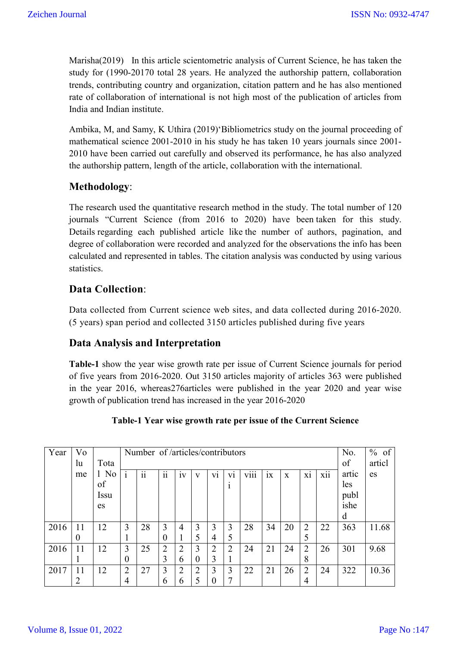Marisha(2019) In this article scientometric analysis of Current Science, he has taken the study for (1990-20170 total 28 years. He analyzed the authorship pattern, collaboration trends, contributing country and organization, citation pattern and he has also mentioned rate of collaboration of international is not high most of the publication of articles from India and Indian institute.

Ambika, M, and Samy, K Uthira (2019)'Bibliometrics study on the journal proceeding of mathematical science 2001-2010 in his study he has taken 10 years journals since 2001- 2010 have been carried out carefully and observed its performance, he has also analyzed the authorship pattern, length of the article, collaboration with the international.

## **Methodology**:

The research used the quantitative research method in the study. The total number of 120 journals "Current Science (from 2016 to 2020) have been taken for this study. Details regarding each published article like the number of authors, pagination, and degree of collaboration were recorded and analyzed for the observations the info has been calculated and represented in tables. The citation analysis was conducted by using various statistics.

## **Data Collection**:

Data collected from Current science web sites, and data collected during 2016-2020. (5 years) span period and collected 3150 articles published during five years

#### **Data Analysis and Interpretation**

**Table-1** show the year wise growth rate per issue of Current Science journals for period of five years from 2016-2020. Out 3150 articles majority of articles 363 were published in the year 2016, whereas276articles were published in the year 2020 and year wise growth of publication trend has increased in the year 2016-2020

| Year | Vo             |             |                | Number of /articles/contributors |                |                |                |          |                |                  | No.     | % of         |                |     |       |       |
|------|----------------|-------------|----------------|----------------------------------|----------------|----------------|----------------|----------|----------------|------------------|---------|--------------|----------------|-----|-------|-------|
|      | lu             | Tota        |                |                                  |                |                |                |          |                |                  |         | of           | articl         |     |       |       |
|      | me             | $1$ No      |                | $\ddot{i}$                       | $\mathbf{ii}$  | iv             | V              | V1       | ۰<br>V1        | $\cdots$<br>V111 | ٠<br>1X | $\mathbf{x}$ | ٠<br>X1        | xii | artic | es    |
|      |                | of          |                |                                  |                |                |                |          |                |                  |         |              |                |     | les   |       |
|      |                | <i>Issu</i> |                |                                  |                |                |                |          |                |                  |         |              |                |     | publ  |       |
|      |                | es          |                |                                  |                |                |                |          |                |                  |         |              |                |     | ishe  |       |
|      |                |             |                |                                  |                |                |                |          |                |                  |         |              |                |     | d     |       |
| 2016 | 11             | 12          | $\overline{3}$ | 28                               | 3              | $\overline{4}$ | 3              | 3        | 3              | 28               | 34      | 20           | $\overline{2}$ | 22  | 363   | 11.68 |
|      | $\theta$       |             |                |                                  | 0              |                | 5              | 4        | 5              |                  |         |              |                |     |       |       |
| 2016 | 11             | 12          | 3              | 25                               | $\overline{2}$ | $\overline{2}$ | $\overline{3}$ | 2        | $\overline{2}$ | 24               | 21      | 24           | 2              | 26  | 301   | 9.68  |
|      |                |             | 0              |                                  | 3              | 6              | $\overline{0}$ | 3        |                |                  |         |              | 8              |     |       |       |
| 2017 | 11             | 12          | $\overline{2}$ | 27                               | 3              | $\overline{2}$ | $\overline{2}$ | 3        | 3              | 22               | 21      | 26           | 2              | 24  | 322   | 10.36 |
|      | $\overline{2}$ |             | 4              |                                  | 6              | 6              | 5              | $\theta$ |                |                  |         |              | 4              |     |       |       |

#### **Table-1 Year wise growth rate per issue of the Current Science**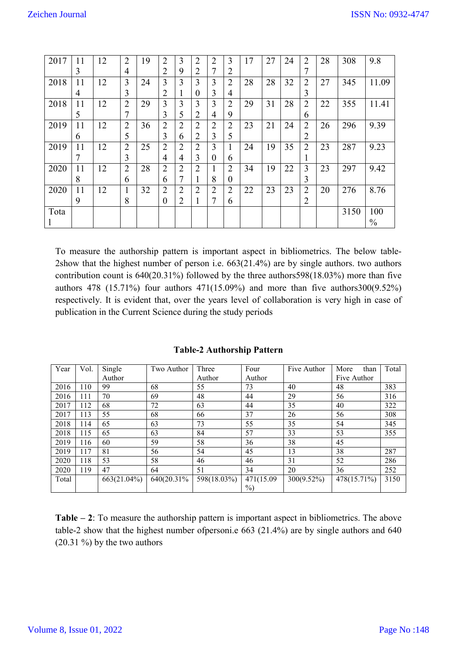| 2017 | 11 | 12 | $\overline{2}$ | 19 | $\overline{2}$ | 3              | $\overline{2}$ | 2              | 3              | 17 | 27 | 24 | $\overline{2}$ | 28 | 308  | 9.8           |
|------|----|----|----------------|----|----------------|----------------|----------------|----------------|----------------|----|----|----|----------------|----|------|---------------|
|      | 3  |    | 4              |    | $\overline{2}$ | 9              | $\overline{2}$ | 7              | 2              |    |    |    | 7              |    |      |               |
| 2018 | 11 | 12 | 3              | 24 | 3              | 3              | 3              | 3              | $\overline{2}$ | 28 | 28 | 32 | $\overline{2}$ | 27 | 345  | 11.09         |
|      | 4  |    | 3              |    | $\overline{2}$ | -1             | $\overline{0}$ | 3              | 4              |    |    |    | 3              |    |      |               |
| 2018 | 11 | 12 | $\overline{2}$ | 29 | 3              | 3              | 3              | 3              | $\overline{2}$ | 29 | 31 | 28 | $\overline{2}$ | 22 | 355  | 11.41         |
|      | 5  |    | 7              |    | 3              | 5              | $\overline{2}$ | 4              | 9              |    |    |    | 6              |    |      |               |
| 2019 | 11 | 12 | $\overline{2}$ | 36 | $\overline{2}$ | $\overline{2}$ | $\overline{2}$ | $\overline{2}$ | $\overline{2}$ | 23 | 21 | 24 | $\overline{2}$ | 26 | 296  | 9.39          |
|      | 6  |    | 5              |    | 3              | 6              | $\overline{2}$ | 3              | 5              |    |    |    | $\overline{2}$ |    |      |               |
| 2019 | 11 | 12 | $\overline{2}$ | 25 | $\overline{2}$ | $\overline{2}$ | $\overline{2}$ | 3              | T              | 24 | 19 | 35 | $\overline{2}$ | 23 | 287  | 9.23          |
|      | 7  |    | 3              |    | 4              | 4              | 3              | $\theta$       | 6              |    |    |    |                |    |      |               |
| 2020 | 11 | 12 | $\overline{2}$ | 28 | $\overline{2}$ | $\overline{2}$ | $\overline{2}$ | 1              | $\overline{2}$ | 34 | 19 | 22 | 3              | 23 | 297  | 9.42          |
|      | 8  |    | 6              |    | 6              | 7              | 1              | 8              | 0              |    |    |    | 3              |    |      |               |
| 2020 | 11 | 12 | 1              | 32 | $\overline{2}$ | $\overline{2}$ | $\overline{2}$ | $\overline{2}$ | $\overline{2}$ | 22 | 23 | 23 | $\overline{2}$ | 20 | 276  | 8.76          |
|      | 9  |    | 8              |    | $\theta$       | $\overline{2}$ |                |                | 6              |    |    |    | $\overline{2}$ |    |      |               |
| Tota |    |    |                |    |                |                |                |                |                |    |    |    |                |    | 3150 | 100           |
|      |    |    |                |    |                |                |                |                |                |    |    |    |                |    |      | $\frac{0}{0}$ |

To measure the authorship pattern is important aspect in bibliometrics. The below table-2show that the highest number of person i.e. 663(21.4%) are by single authors. two authors contribution count is 640(20.31%) followed by the three authors598(18.03%) more than five authors 478 (15.71%) four authors 471(15.09%) and more than five authors  $300(9.52\%)$ respectively. It is evident that, over the years level of collaboration is very high in case of publication in the Current Science during the study periods

| Year  | Vol. | Single      | Two Author  | Three       | Four       | Five Author | More<br>than | Total |
|-------|------|-------------|-------------|-------------|------------|-------------|--------------|-------|
|       |      | Author      |             | Author      | Author     |             | Five Author  |       |
| 2016  | 110  | 99          | 68          | 55          | 73         | 40          | 48           | 383   |
| 2016  | 111  | 70          | 69          | 48          | 44         | 29          | 56           | 316   |
| 2017  | 112  | 68          | 72          | 63          | 44         | 35          | 40           | 322   |
| 2017  | 113  | 55          | 68          | 66          | 37         | 26          | 56           | 308   |
| 2018  | 114  | 65          | 63          | 73          | 55         | 35          | 54           | 345   |
| 2018  | 115  | 65          | 63          | 84          | 57         | 33          | 53           | 355   |
| 2019  | 116  | 60          | 59          | 58          | 36         | 38          | 45           |       |
| 2019  | 117  | 81          | 56          | 54          | 45         | 13          | 38           | 287   |
| 2020  | 118  | 53          | 58          | 46          | 46         | 31          | 52           | 286   |
| 2020  | 119  | 47          | 64          | 51          | 34         | 20          | 36           | 252   |
| Total |      | 663(21.04%) | 640(20.31%) | 598(18.03%) | 471(15.09) | 300(9.52%)  | 478(15.71%)  | 3150  |
|       |      |             |             |             | $\%$       |             |              |       |

**Table-2 Authorship Pattern**

**Table – 2**: To measure the authorship pattern is important aspect in bibliometrics. The above table-2 show that the highest number ofpersoni.e 663 (21.4%) are by single authors and 640  $(20.31\%)$  by the two authors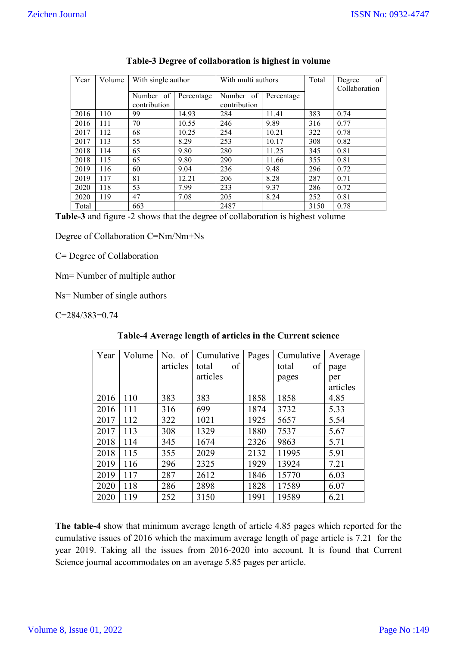| Year  | Volume | With single author        |            | With multi authors        |            | Total | of<br>Degree<br>Collaboration |
|-------|--------|---------------------------|------------|---------------------------|------------|-------|-------------------------------|
|       |        | Number of<br>contribution | Percentage | Number of<br>contribution | Percentage |       |                               |
| 2016  | 110    | 99                        | 14.93      | 284                       | 11.41      | 383   | 0.74                          |
| 2016  | 111    | 70                        | 10.55      | 246                       | 9.89       | 316   | 0.77                          |
| 2017  | 112    | 68                        | 10.25      | 254                       | 10.21      | 322   | 0.78                          |
| 2017  | 113    | 55                        | 8.29       | 253                       | 10.17      | 308   | 0.82                          |
| 2018  | 114    | 65                        | 9.80       | 280                       | 11.25      | 345   | 0.81                          |
| 2018  | 115    | 65                        | 9.80       | 290                       | 11.66      | 355   | 0.81                          |
| 2019  | 116    | 60                        | 9.04       | 236                       | 9.48       | 296   | 0.72                          |
| 2019  | 117    | 81                        | 12.21      | 206                       | 8.28       | 287   | 0.71                          |
| 2020  | 118    | 53                        | 7.99       | 233                       | 9.37       | 286   | 0.72                          |
| 2020  | 119    | 47                        | 7.08       | 205                       | 8.24       | 252   | 0.81                          |
| Total |        | 663                       |            | 2487                      |            | 3150  | 0.78                          |

#### **Table-3 Degree of collaboration is highest in volume**

**Table-3** and figure -2 shows that the degree of collaboration is highest volume

Degree of Collaboration C=Nm/Nm+Ns

C= Degree of Collaboration

Nm= Number of multiple author

Ns= Number of single authors

C=284/383=0.74

| Year | Volume | No. of   | Cumulative  | Pages | Cumulative  | Average  |
|------|--------|----------|-------------|-------|-------------|----------|
|      |        | articles | of<br>total |       | of<br>total | page     |
|      |        |          | articles    |       | pages       | per      |
|      |        |          |             |       |             | articles |
| 2016 | 110    | 383      | 383         | 1858  | 1858        | 4.85     |
| 2016 | 111    | 316      | 699         | 1874  | 3732        | 5.33     |
| 2017 | 112    | 322      | 1021        | 1925  | 5657        | 5.54     |
| 2017 | 113    | 308      | 1329        | 1880  | 7537        | 5.67     |
| 2018 | 114    | 345      | 1674        | 2326  | 9863        | 5.71     |
| 2018 | 115    | 355      | 2029        | 2132  | 11995       | 5.91     |
| 2019 | 116    | 296      | 2325        | 1929  | 13924       | 7.21     |
| 2019 | 117    | 287      | 2612        | 1846  | 15770       | 6.03     |
| 2020 | 118    | 286      | 2898        | 1828  | 17589       | 6.07     |
| 2020 | 119    | 252      | 3150        | 1991  | 19589       | 6.21     |

#### **Table-4 Average length of articles in the Current science**

**The table-4** show that minimum average length of article 4.85 pages which reported for the cumulative issues of 2016 which the maximum average length of page article is 7.21 for the year 2019. Taking all the issues from 2016-2020 into account. It is found that Current Science journal accommodates on an average 5.85 pages per article.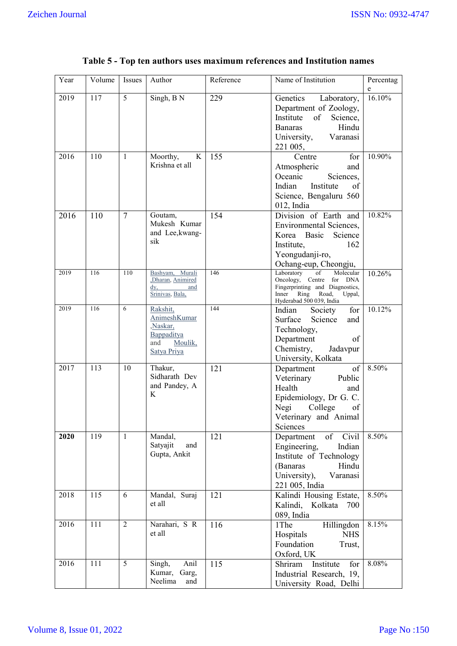| Year | Volume | <b>Issues</b>  | Author                                                                                    | Reference | Name of Institution                                                                                                                                       | Percentag<br>e |
|------|--------|----------------|-------------------------------------------------------------------------------------------|-----------|-----------------------------------------------------------------------------------------------------------------------------------------------------------|----------------|
| 2019 | 117    | 5              | Singh, B N                                                                                | 229       | Genetics<br>Laboratory,<br>Department of Zoology,<br>Institute<br>of<br>Science,<br>Hindu<br><b>Banaras</b><br>University,<br>Varanasi<br>221 005,        | 16.10%         |
| 2016 | 110    | $\mathbf{1}$   | Moorthy,<br>K<br>Krishna et all                                                           | 155       | for<br>Centre<br>Atmospheric<br>and<br>Oceanic<br>Sciences,<br>Indian<br>Institute<br>of<br>Science, Bengaluru 560<br>012, India                          | 10.90%         |
| 2016 | 110    | $\overline{7}$ | Goutam,<br>Mukesh Kumar<br>and Lee, kwang-<br>sik                                         | 154       | Division of Earth and<br>Environmental Sciences,<br>Korea Basic<br>Science<br>Institute,<br>162<br>Yeongudanji-ro,<br>Ochang-eup, Cheongju,               | 10.82%         |
| 2019 | 116    | 110            | Bashyam, Murali<br>,Dharan, Animired<br>$\mathrm{dy},$<br>and<br>Srinivas, Bala,          | 146       | Laboratory<br>Molecular<br>of<br>Oncology, Centre<br>for DNA<br>Fingerprinting and Diagnostics,<br>Inner Ring Road,<br>Uppal,<br>Hyderabad 500 039, India | 10.26%         |
| 2019 | 116    | 6              | Rakshit,<br><b>AnimeshKumar</b><br>Naskar,<br>Bappaditya<br>and<br>Moulik,<br>Satya Priya | 144       | for<br>Indian<br>Society<br>Surface<br>Science<br>and<br>Technology,<br>Department<br>of<br>Chemistry,<br>Jadavpur<br>University, Kolkata                 | 10.12%         |
| 2017 | 113    | 10             | Thakur,<br>Sidharath Dev<br>and Pandey, A<br>K                                            | 121       | Department<br>of<br>Veterinary<br>Public<br>Health<br>and<br>Epidemiology, Dr G. C.<br>Negi<br>College<br>of<br>Veterinary and Animal<br>Sciences         | 8.50%          |
| 2020 | 119    | $\mathbf{1}$   | Mandal,<br>Satyajit<br>and<br>Gupta, Ankit                                                | 121       | of Civil<br>Department<br>Engineering,<br>Indian<br>Institute of Technology<br>(Banaras<br>Hindu<br>University),<br>Varanasi<br>221 005, India            | 8.50%          |
| 2018 | 115    | 6              | Mandal, Suraj<br>et all                                                                   | 121       | Kalindi Housing Estate,<br>Kalindi, Kolkata 700<br>089, India                                                                                             | 8.50%          |
| 2016 | 111    | $\overline{2}$ | Narahari, S R<br>et all                                                                   | 116       | Hillingdon<br>1The<br>Hospitals<br><b>NHS</b><br>Foundation<br>Trust,<br>Oxford, UK                                                                       | 8.15%          |
| 2016 | 111    | 5              | Anil<br>Singh,<br>Kumar, Garg,<br>Neelima<br>and                                          | 115       | Institute<br>for<br>Shriram<br>Industrial Research, 19,<br>University Road, Delhi                                                                         | 8.08%          |

# **Table 5 - Top ten authors uses maximum references and Institution names**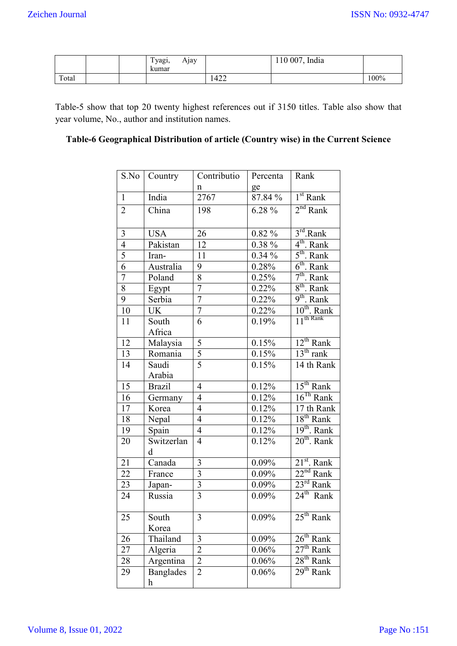|       |  | $\sim$<br>Tyagı,<br>Ajay<br>kumar |      | India<br>110 007. |      |
|-------|--|-----------------------------------|------|-------------------|------|
| Total |  |                                   | 1422 |                   | 100% |

Table-5 show that top 20 twenty highest references out if 3150 titles. Table also show that year volume, No., author and institution names.

## **Table-6 Geographical Distribution of article (Country wise) in the Current Science**

| S.No            | Country          | Contributio              | Percenta | Rank                              |
|-----------------|------------------|--------------------------|----------|-----------------------------------|
|                 |                  | n                        | ge       |                                   |
| $\mathbf{1}$    | India            | 2767                     | 87.84 %  | $1st$ Rank                        |
| $\overline{2}$  | China            | 198                      | 6.28 %   | $2nd$ Rank                        |
|                 |                  |                          |          |                                   |
| $\mathfrak{Z}$  | <b>USA</b>       | 26                       | $0.82\%$ | $3rd$ . Rank                      |
| $\overline{4}$  | Pakistan         | 12                       | 0.38 %   | 4 <sup>th</sup> . Rank            |
| $\overline{5}$  | Iran-            | 11                       | $0.34\%$ | $5^{\text{th}}$ . Rank            |
| $\overline{6}$  | Australia        | 9                        | 0.28%    | $6th$ . Rank                      |
| $\overline{7}$  | Poland           | 8                        | 0.25%    | $7th$ . Rank                      |
| 8               | Egypt            | $\overline{7}$           | 0.22%    | $8^{\text{th}}$ . Rank            |
| 9               | Serbia           | $\overline{7}$           | 0.22%    | $9th$ . Rank                      |
| 10              | UK               | $\overline{7}$           | 0.22%    | $10^{th}$ . Rank                  |
| 11              | South            | 6                        | 0.19%    | $\frac{1}{11}$ <sup>th</sup> Rank |
|                 | Africa           |                          |          |                                   |
| 12              | Malaysia         | 5                        | 0.15%    | $12^{th}$ Rank                    |
| 13              | Romania          | $\overline{5}$           | 0.15%    | $13th$ rank                       |
| 14              | Saudi            | $\overline{5}$           | 0.15%    | $\overline{14}$ th Rank           |
|                 | Arabia           |                          |          |                                   |
| 15              | <b>Brazil</b>    | $\overline{4}$           | 0.12%    | $15th$ Rank                       |
| $\overline{16}$ | Germany          | $\overline{\mathcal{L}}$ | 0.12%    | $16^{Th}$ Rank                    |
| 17              | Korea            | $\overline{4}$           | 0.12%    | 17 th Rank                        |
| 18              | Nepal            | $\overline{4}$           | 0.12%    | 18 <sup>th</sup> Rank             |
| 19              | Spain            | $\overline{\mathcal{L}}$ | 0.12%    | $19th$ . Rank                     |
| 20              | Switzerlan       | $\overline{4}$           | 0.12%    | $20th$ . Rank                     |
|                 | d                |                          |          |                                   |
| 21              | Canada           | 3                        | $0.09\%$ | $21^{st}$ . Rank                  |
| $\overline{22}$ | France           | $\overline{3}$           | 0.09%    | $22nd$ Rank                       |
| 23              | Japan-           | $\overline{3}$           | 0.09%    | $23^{\text{rd}}$ Rank             |
| 24              | Russia           | $\overline{3}$           | $0.09\%$ | $24^{\text{th}}$ Rank             |
|                 |                  |                          |          | $25th$ Rank                       |
| 25              | South            | 3                        | 0.09%    |                                   |
|                 | Korea            |                          |          | $26th$ Rank                       |
| 26              | Thailand         | 3                        | 0.09%    | $27th$ Rank                       |
| 27              | Algeria          | $\overline{2}$           | 0.06%    |                                   |
| 28              | Argentina        | $\overline{2}$           | 0.06%    | $28th$ Rank                       |
| 29              | <b>Banglades</b> | $\overline{2}$           | 0.06%    | $29th$ Rank                       |
|                 | h                |                          |          |                                   |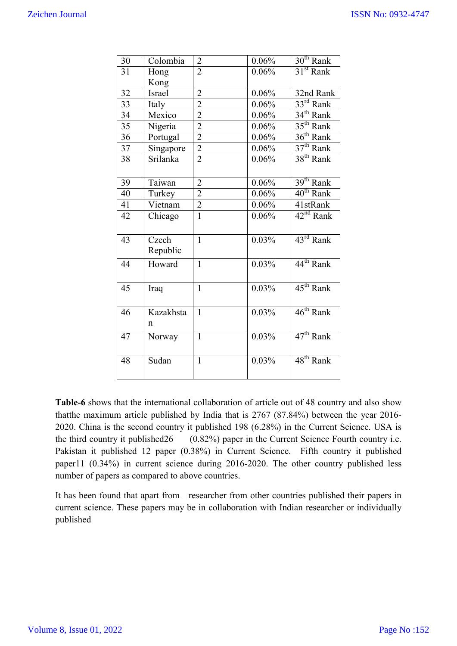| 30              | Colombia      | $\overline{2}$ | 0.06% | $30th$ Rank           |
|-----------------|---------------|----------------|-------|-----------------------|
| $\overline{31}$ | Hong          | $\overline{2}$ | 0.06% | 31 <sup>st</sup> Rank |
|                 | Kong          |                |       |                       |
| 32              | <b>Israel</b> | $\overline{2}$ | 0.06% | 32nd Rank             |
| 33              | Italy         | $\overline{c}$ | 0.06% | $33^{rd}$ Rank        |
| $\overline{34}$ | Mexico        | $\overline{2}$ | 0.06% | 34 <sup>th</sup> Rank |
| 35              | Nigeria       | $\overline{2}$ | 0.06% | $35th$ Rank           |
| 36              | Portugal      | $\overline{2}$ | 0.06% | 36 <sup>th</sup> Rank |
| 37              | Singapore     | $\overline{2}$ | 0.06% | $37th$ Rank           |
| 38              | Srilanka      | $\overline{2}$ | 0.06% | $38th$ Rank           |
|                 |               |                |       |                       |
| 39              | Taiwan        | $\overline{2}$ | 0.06% | $39th$ Rank           |
| 40              | Turkey        | $\overline{2}$ | 0.06% | $40^{\text{th}}$ Rank |
| 41              | Vietnam       | $\overline{c}$ | 0.06% | 41stRank              |
| 42              | Chicago       | $\mathbf{1}$   | 0.06% | $42nd$ Rank           |
|                 |               |                |       |                       |
| 43              | Czech         | $\mathbf{1}$   | 0.03% | $43^{\text{rd}}$ Rank |
|                 | Republic      |                |       |                       |
| 44              | Howard        | $\mathbf{1}$   | 0.03% | 44 <sup>th</sup> Rank |
|                 |               |                |       |                       |
|                 |               |                |       |                       |
| 45              | Iraq          | $\mathbf{1}$   | 0.03% | 45 <sup>th</sup> Rank |
|                 |               |                |       |                       |
| 46              | Kazakhsta     | $\overline{1}$ | 0.03% | $46th$ Rank           |
|                 | n             |                |       |                       |
| 47              | Norway        | $\mathbf{1}$   | 0.03% | $47th$ Rank           |
|                 |               |                |       |                       |
| 48              | Sudan         | $\mathbf{1}$   | 0.03% | $48^{\text{th}}$ Rank |
|                 |               |                |       |                       |
|                 |               |                |       |                       |

**Table-6** shows that the international collaboration of article out of 48 country and also show thatthe maximum article published by India that is 2767 (87.84%) between the year 2016- 2020. China is the second country it published 198 (6.28%) in the Current Science. USA is the third country it published26 (0.82%) paper in the Current Science Fourth country i.e. Pakistan it published 12 paper (0.38%) in Current Science. Fifth country it published paper11 (0.34%) in current science during 2016-2020. The other country published less number of papers as compared to above countries.

It has been found that apart from researcher from other countries published their papers in current science. These papers may be in collaboration with Indian researcher or individually published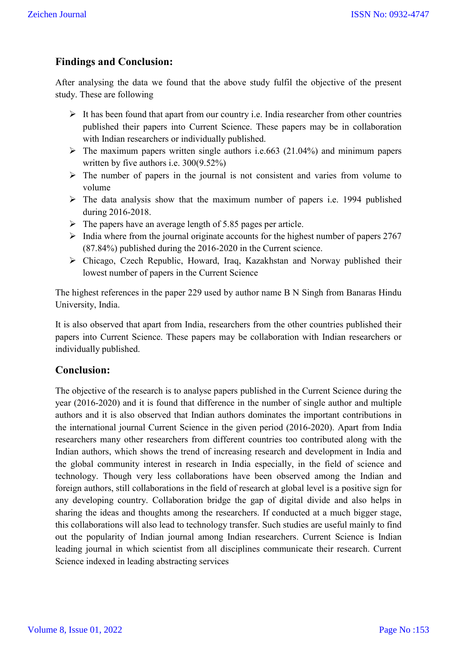## **Findings and Conclusion:**

After analysing the data we found that the above study fulfil the objective of the present study. These are following

- $\triangleright$  It has been found that apart from our country i.e. India researcher from other countries published their papers into Current Science. These papers may be in collaboration with Indian researchers or individually published.
- $\triangleright$  The maximum papers written single authors i.e.663 (21.04%) and minimum papers written by five authors i.e. 300(9.52%)
- $\triangleright$  The number of papers in the journal is not consistent and varies from volume to volume
- $\triangleright$  The data analysis show that the maximum number of papers i.e. 1994 published during 2016-2018.
- $\triangleright$  The papers have an average length of 5.85 pages per article.
- $\triangleright$  India where from the journal originate accounts for the highest number of papers 2767 (87.84%) published during the 2016-2020 in the Current science.
- Chicago, Czech Republic, Howard, Iraq, Kazakhstan and Norway published their lowest number of papers in the Current Science

The highest references in the paper 229 used by author name B N Singh from Banaras Hindu University, India.

It is also observed that apart from India, researchers from the other countries published their papers into Current Science. These papers may be collaboration with Indian researchers or individually published.

#### **Conclusion:**

The objective of the research is to analyse papers published in the Current Science during the year (2016-2020) and it is found that difference in the number of single author and multiple authors and it is also observed that Indian authors dominates the important contributions in the international journal Current Science in the given period (2016-2020). Apart from India researchers many other researchers from different countries too contributed along with the Indian authors, which shows the trend of increasing research and development in India and the global community interest in research in India especially, in the field of science and technology. Though very less collaborations have been observed among the Indian and foreign authors, still collaborations in the field of research at global level is a positive sign for any developing country. Collaboration bridge the gap of digital divide and also helps in sharing the ideas and thoughts among the researchers. If conducted at a much bigger stage, this collaborations will also lead to technology transfer. Such studies are useful mainly to find out the popularity of Indian journal among Indian researchers. Current Science is Indian leading journal in which scientist from all disciplines communicate their research. Current Science indexed in leading abstracting services